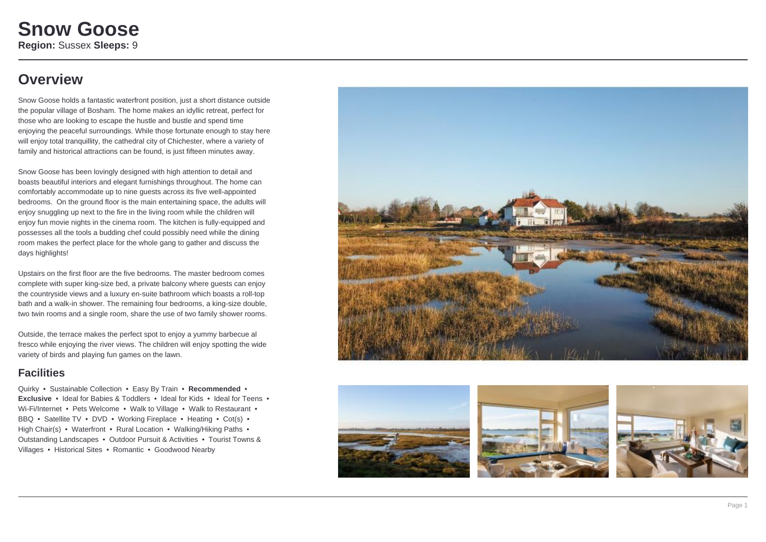### **Overview**

Snow Goose holds a fantastic waterfront position, just a short distance outside the popular village of Bosham. The home makes an idyllic retreat, perfect for those who are looking to escape the hustle and bustle and spend time enjoying the peaceful surroundings. While those fortunate enough to stay here will enjoy total tranquillity, the cathedral city of Chichester, where a variety of family and historical attractions can be found, is just fifteen minutes away.

Snow Goose has been lovingly designed with high attention to detail and boasts beautiful interiors and elegant furnishings throughout. The home can comfortably accommodate up to nine guests across its five well-appointed bedrooms. On the ground floor is the main entertaining space, the adults will enjoy snuggling up next to the fire in the living room while the children will enjoy fun movie nights in the cinema room. The kitchen is fully-equipped and possesses all the tools a budding chef could possibly need while the dining room makes the perfect place for the whole gang to gather and discuss the days highlights!

Upstairs on the first floor are the five bedrooms. The master bedroom comes complete with super king-size bed, a private balcony where guests can enjoy the countryside views and a luxury en-suite bathroom which boasts a roll-top bath and a walk-in shower. The remaining four bedrooms, a king-size double, two twin rooms and a single room, share the use of two family shower rooms.

Outside, the terrace makes the perfect spot to enjoy a yummy barbecue al fresco while enjoying the river views. The children will enjoy spotting the wide variety of birds and playing fun games on the lawn.

### **Facilities**

Quirky • Sustainable Collection • Easy By Train • **Recommended** • **Exclusive** • Ideal for Babies & Toddlers • Ideal for Kids • Ideal for Teens • Wi-Fi/Internet • Pets Welcome • Walk to Village • Walk to Restaurant • BBQ • Satellite TV • DVD • Working Fireplace • Heating • Cot(s) • High Chair(s) • Waterfront • Rural Location • Walking/Hiking Paths • Outstanding Landscapes • Outdoor Pursuit & Activities • Tourist Towns & Villages • Historical Sites • Romantic • Goodwood Nearby







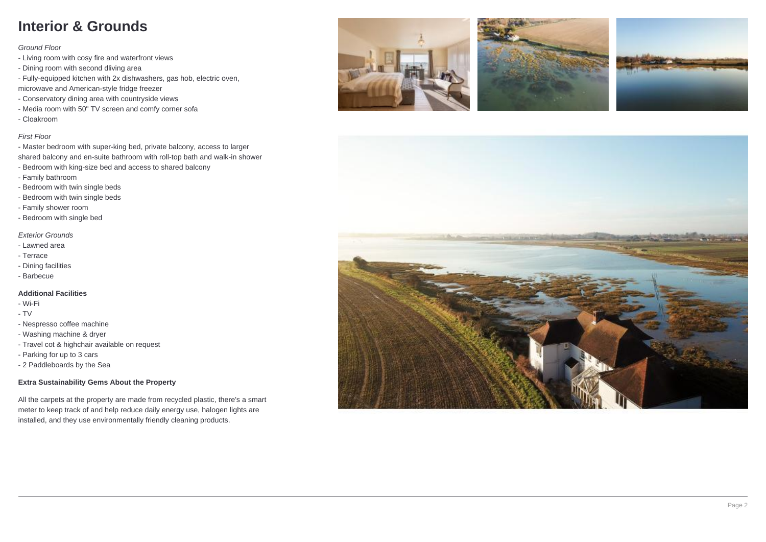## **Interior & Grounds**

Ground Floor

- Living room with cosy fire and waterfront views
- Dining room with second dliving area
- Fully-equipped kitchen with 2x dishwashers, gas hob, electric oven,
- microwave and American-style fridge freezer
- Conservatory dining area with countryside views
- Media room with 50" TV screen and comfy corner sofa

- Cloakroom

### First Floor

- Master bedroom with super-king bed, private balcony, access to larger shared balcony and en-suite bathroom with roll-top bath and walk-in shower - Bedroom with king-size bed and access to shared balcony

- Family bathroom
- Bedroom with twin single beds
- Bedroom with twin single beds
- Family shower room
- Bedroom with single bed

### Exterior Grounds

- Lawned area
- Terrace
- Dining facilities
- Barbecue

### **Additional Facilities**

- Wi-Fi
- TV
- Nespresso coffee machine
- Washing machine & dryer
- Travel cot & highchair available on request
- Parking for up to 3 cars
- 2 Paddleboards by the Sea

### **Extra Sustainability Gems About the Property**

All the carpets at the property are made from recycled plastic, there's a smart meter to keep track of and help reduce daily energy use, halogen lights are installed, and they use environmentally friendly cleaning products.







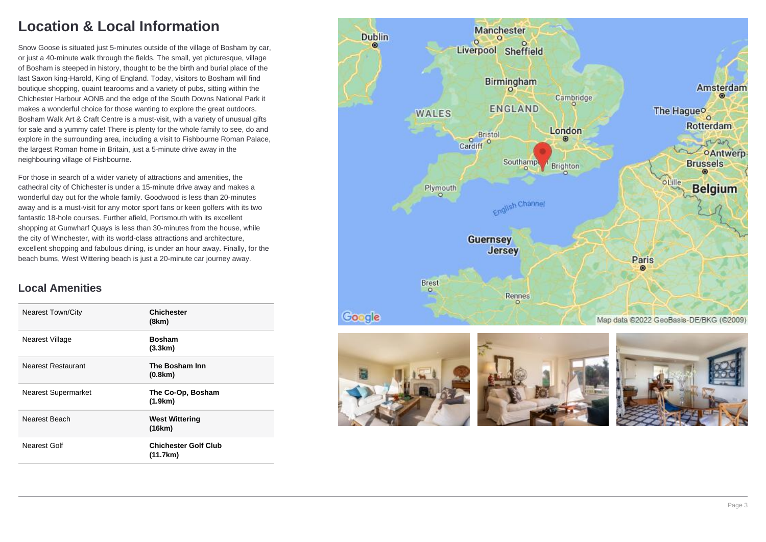# **Location & Local Information**

Snow Goose is situated just 5-minutes outside of the village of Bosham by car, or just a 40-minute walk through the fields. The small, yet picturesque, village of Bosham is steeped in history, thought to be the birth and burial place of the last Saxon king-Harold, King of England. Today, visitors to Bosham will find boutique shopping, quaint tearooms and a variety of pubs, sitting within the Chichester Harbour AONB and the edge of the South Downs National Park it makes a wonderful choice for those wanting to explore the great outdoors. Bosham Walk Art & Craft Centre is a must-visit, with a variety of unusual gifts for sale and a yummy cafe! There is plenty for the whole family to see, do and explore in the surrounding area, including a visit to Fishbourne Roman Palace, the largest Roman home in Britain, just a 5-minute drive away in the neighbouring village of Fishbourne.

For those in search of a wider variety of attractions and amenities, the cathedral city of Chichester is under a 15-minute drive away and makes a wonderful day out for the whole family. Goodwood is less than 20-minutes away and is a must-visit for any motor sport fans or keen golfers with its two fantastic 18-hole courses. Further afield, Portsmouth with its excellent shopping at Gunwharf Quays is less than 30-minutes from the house, while the city of Winchester, with its world-class attractions and architecture, excellent shopping and fabulous dining, is under an hour away. Finally, for the beach bums, West Wittering beach is just a 20-minute car journey away.

### **Local Amenities**

| <b>Nearest Town/City</b>   | Chichester<br>(8km)                     |
|----------------------------|-----------------------------------------|
| Nearest Village            | <b>Bosham</b><br>(3.3km)                |
| Nearest Restaurant         | The Bosham Inn<br>(0.8km)               |
| <b>Nearest Supermarket</b> | The Co-Op, Bosham<br>(1.9km)            |
| Nearest Beach              | <b>West Wittering</b><br>(16km)         |
| Nearest Golf               | <b>Chichester Golf Club</b><br>(11.7km) |

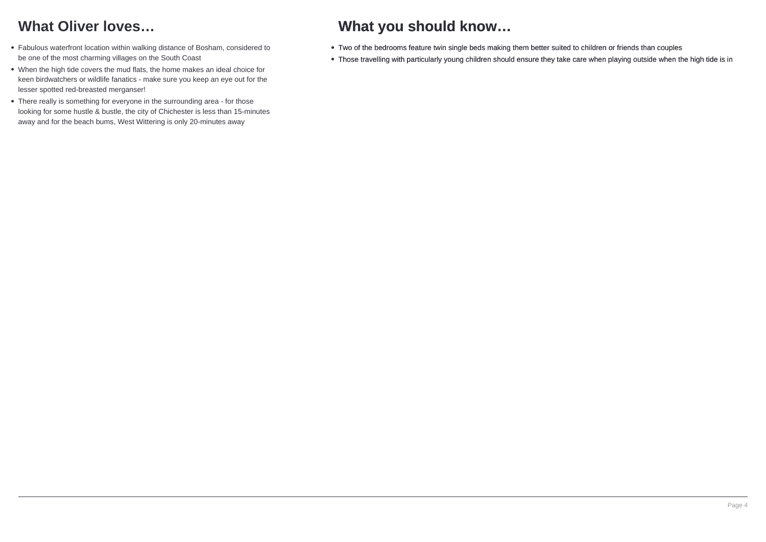# **What Oliver loves…**

- Fabulous waterfront location within walking distance of Bosham, considered to be one of the most charming villages on the South Coast
- When the high tide covers the mud flats, the home makes an ideal choice for keen birdwatchers or wildlife fanatics - make sure you keep an eye out for the lesser spotted red-breasted merganser!
- There really is something for everyone in the surrounding area for those looking for some hustle & bustle, the city of Chichester is less than 15-minutes away and for the beach bums, West Wittering is only 20-minutes away

# **What you should know…**

- Two of the bedrooms feature twin single beds making them better suited to children or friends than couples
- Those travelling with particularly young children should ensure they take care when playing outside when the high tide is in